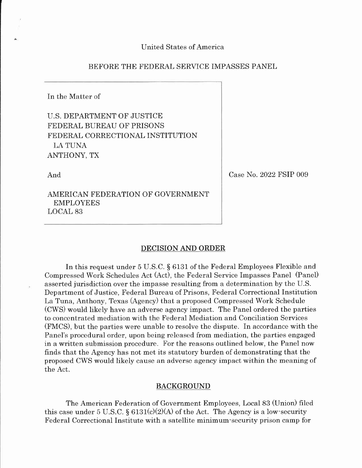# BEFORE THE FEDERAL SERVICE IMPASSES PANEL

In the Matter of

U.S. DEPARTMENT OF JUSTICE FEDERAL BUREAU OF PRISONS FEDERAL CORRECTIONAL INSTITUTION I,A TUNA ANTHONY, TX

And

Case No. 2022 FSIP 009

AMERICAN FEDERATION OF GOVERNMENT EMPLOYEES LOCAL 83

### DECISION AND ORDER

In this request under 5 U.S.C. S 6131 of the Federal Employees Flexible and Compressed Work Schedules Act (Act), the Federal Service Impasses Panel (Panel) asserted jurisdiction over the impasse resulting from a determination by the U.S. Department of Justice, Federal Bureau of Prisons, Federal Correctional Institution La Tuna, Anthony, Texas (Agency) that a proposed Compressed Work Schedule (CWS) would likely have an adverse agency impact. The Panel ordered the parties to concentrated mediation with the Federal Mediation and Conciliation Services (FMCS), but the parties were unable to resolve the dispute. In accordance with the Panel's procedural order, upon being released from mediation, the parties engaged in a written submission procedure. For the reasons outlined below, the Panel now finds that the Agency has not met its statutory burden of demonstrating that the proposed CWS would likely cause an adverse agency impact within the meaning of the Act.

### BACKGROUND

The American Federation of Government Employees, Local 83 (Union) filed this case under 5 U.S.C.  $\S 6131(c)(2)(A)$  of the Act. The Agency is a low-security Federal Correctional Institute with a satellite minimum-security prison camp for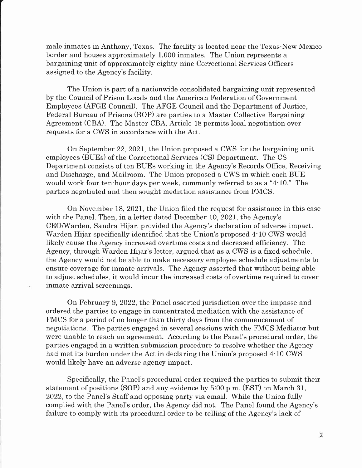male inmates in Anthony, Texas. The facility is located near the Texas-New Mexico border and houses approximately 1,000 inmates. The Union represents a bargaining unit of approximately eighty-nine Correctional Services Officers assigned to the Agency's facility.

The Union is part of a nationwide consolidated bargaining unit represented by the Council of Prison Locals and the American Federation of Government Employees (AFGE Council). The AFGE Council and the Department of Justice, Federal Bureau of Prisons (BOP) are parties to a Master Collective Bargaining Agreement (CBA). The Master CBA, Article 18 permits local negotiation over requests for a CWS in accordance with the Act.

On September 22, 2O2I, the Union proposed a CWS for the bargaining unit employees (BUEs) of the Correctional Services (CS) Department. The CS Department consists of ten BUEs working in the Agency's Records Office, Receiving and Discharge, and Mailroom. The Union proposed a CWS in which each BUE would work four ten-hour days per week, commonly referred to as a "4-10." The parties negotiated and then sought mediation assistance from FMCS.

On November 18, 2021, the Union filed the request for assistance in this case with the Panel. Then, in a letter dated December 10, 2021, the Agency's CEOMarden, Sandra Hijar, provided the Agency's declaration of adverse impact. Warden Hijar specifically identified that the Union's proposed 4-10 CWS would Iikely cause the Agency increased overtime costs and decreased efficiency. The Agency, through Warden Hijar's letter, argued that as a CWS is a fixed schedule, the Agency would not be able to make necessary employee schedule adjustments to ensure coverage for inmate arrivals. The Agency asserted that without being able to adjust schedules, it would incur the increased costs of overtime required to cover inmate arrival screenings.

On February 9, 2022, the Panel asserted jurisdiction over the impasse and ordered the parties to engage in concentrated mediation with the assistance of FMCS for a period of no longer than thirty days from the commencement of negotiations. The parties engaged in several sessions with the FMCS Mediator but were unable to reach an agreement. According to the Panel's procedural order, the parties engaged in a written submission procedure to resolve whether the Agency had met its burden under the Act in declaring the Union's proposed 4-10 CWS would likely have an adverse agency impact.

Specifically, the Panel's procedural order required the parties to submit their statement of positions (SOP) and any evidence by  $5:00$  p.m. (EST) on March 31, 2022, to the Panel's Staff and opposing party via email. While the Union fully complied with the Panel's order, the Agency did not. The Panel found the Agency's failure to comply with its procedural order to be telling of the Agency's lack of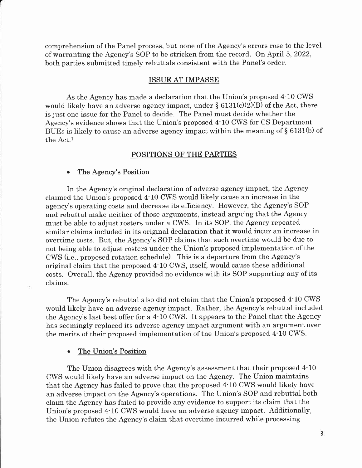comprehension of the Panel process, but none of the Agency's errors rose to the level of warranting the Agency's SOP to be stricken from the record. On April 5,2022, both parties submitted timely rebuttals consistent with the Panel's order.

# ISSUE AT IMPASSE

As the Agency has made a declaration that the Union's proposed 4-10 CWS would likely have an adverse agency impact, under  $\S 6131(c)(2)(B)$  of the Act, there is just one issue for the Panel to decide. The Panel must decide whether the Agency's evidence shows that the Union's proposed 4.10 CWS for CS Department BUEs is likely to cause an adverse agency impact within the meaning of  $\S$  6131(b) of the Act.1

# POSITIONS OF THE PARTIES

# . The Agency's Position

In the Agency's original declaration of adverse agency impact, the Agency claimed the Union's proposed 4-10 CWS would likely cause an increase in the agency's operating costs and decrease its efficiency. However, the Agency's SOP and rebuttal make neither of those arguments, instead arguing that the Agency must be able to adjust rosters under a CWS. In its SOP, the Agency repeated similar claims included in its original declaration that it would incur an increase in overtime costs. But, the Agency's SOP claims that such overtime would be due to not being able to adjust rosters under the Union's proposed implementation of the CWS (i.e., proposed rotation schedule). This is a departure from the Agency's original claim that the proposed 4-10 CWS, itself, would cause these additional costs. OveraII, the Agency provided no evidence with its SOP supporting any of its claims.

The Agency's rebuttal also did not claim that the Union's proposed 4-10 CWS would likely have an adverse agency impact. Rather, the Agency's rebuttal included the Agency's last best offer for a 4-10 CWS. It appears to the Panel that the Agency has seemingly replaced its adverse agency impact argument with an argument over the merits of their proposed implementation of the Union's proposed 4.10 CWS.

## The Union's Position

The Union disagrees with the Agency's assessment that their proposed 4-10 CWS would likely have an adverse impact on the Agency. The Union maintains that the Agency has failed to prove that the proposed 4-10 CWS would likely have an adverse impact on the Agency's operations. The Union's SOP and rebuttal both claim the Agency has failed to provide any evidence to support its claim that the Union's proposed 4-10 CWS would have an adverse agency impact. Additionally, the Union refutes the Agency's claim that overtime incurred while processing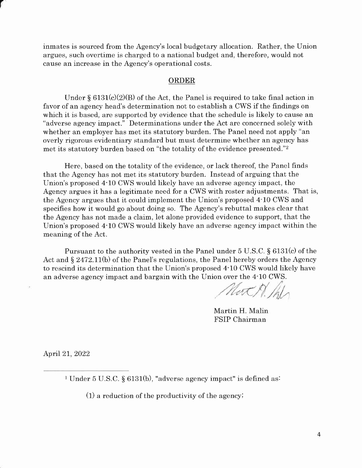inmates is sourced from the Agency's local budgetary allocation. Rather, the Union argues, such overtime is charged to a national budget and, therefore, would not cause an increase in the Agency's operational costs.

### ORDER

Under  $\S 6131(c)(2)(B)$  of the Act, the Panel is required to take final action in favor of an agency head's determination not to establish a CWS if the findings on which it is based, are supported by evidence that the schedule is likely to cause an "adverse agency impact." Determinations under the Act are concerned solely with whether an employer has met its statutory burden. The Panel need not apply "an overly rigorous evidentiary standard but must determine whether an agency has met its statutory burden based on "the totality of the evidence presented."2

Here, based on the totality of the evidence, or lack thereof, the Panel finds that the Agency has not met its statutory burden. Instead of arguing that the Union's proposed 4-10 CWS would likely have an adverse agency impact, the Agency argues it has a legitimate need for a CWS with roster adjustments. That is, the Agency argues that it could implement the Union's proposed 4-10 CWS and specifies how it would go about doing so. The Agency's rebuttal makes clear that the Agency has not made a claim, let alone provided evidence to support, that the Union's proposed 4.10 CWS would likely have an adverse agency impact within the meaning of the Act.

Pursuant to the authority vested in the Panel under 5 U.S.C. \$ 6131(c) of the Act and  $\S 2472.11(b)$  of the Panel's regulations, the Panel hereby orders the Agency to rescind its determination that the Union's proposed 4-10 CWS would likely have an adverse agency impact and bargain with the Union over the 4-10 CWS.

Not M. Ph

Martin H. Malin FSIP Chairman

April 2I,2022

(1) a reduction of the productivity of the agencyi

<sup>&</sup>lt;sup>1</sup> Under 5 U.S.C. § 6131(b), "adverse agency impact" is defined as: